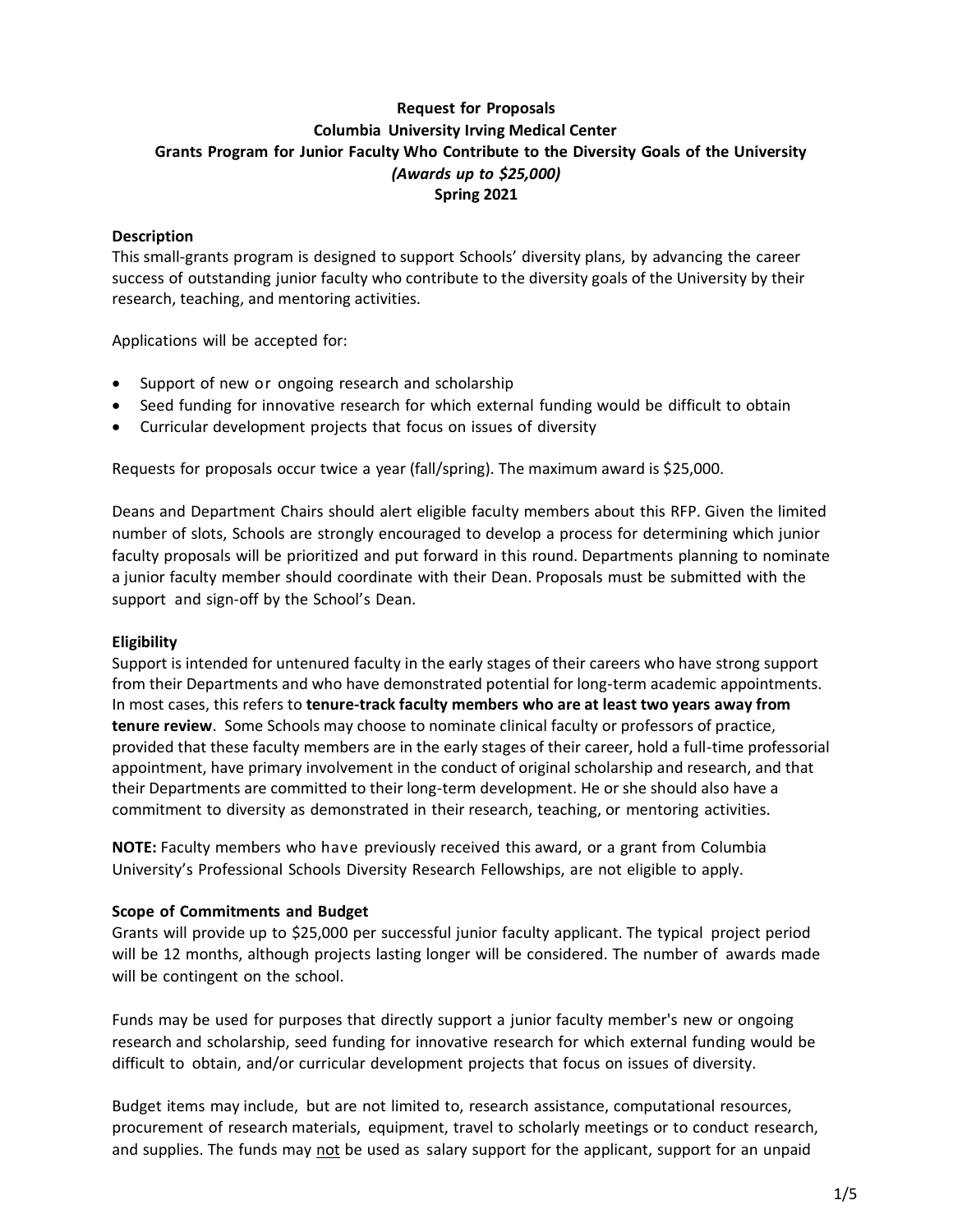## **Request for Proposals Columbia University Irving Medical Center Grants Program for Junior Faculty Who Contribute to the Diversity Goals of the University** *(Awards up to \$25,000)* **Spring 2021**

### **Description**

This small-grants program is designed to support Schools' diversity plans, by advancing the career success of outstanding junior faculty who contribute to the diversity goals of the University by their research, teaching, and mentoring activities.

Applications will be accepted for:

- Support of new or ongoing research and scholarship
- Seed funding for innovative research for which external funding would be difficult to obtain
- Curricular development projects that focus on issues of diversity

Requests for proposals occur twice a year (fall/spring). The maximum award is \$25,000.

Deans and Department Chairs should alert eligible faculty members about this RFP. Given the limited number of slots, Schools are strongly encouraged to develop a process for determining which junior faculty proposals will be prioritized and put forward in this round. Departments planning to nominate a junior faculty member should coordinate with their Dean. Proposals must be submitted with the support and sign-off by the School's Dean.

#### **Eligibility**

Support is intended for untenured faculty in the early stages of their careers who have strong support from their Departments and who have demonstrated potential for long-term academic appointments. In most cases, this refers to **tenure-track faculty members who are at least two years away from tenure review**. Some Schools may choose to nominate clinical faculty or professors of practice, provided that these faculty members are in the early stages of their career, hold a full-time professorial appointment, have primary involvement in the conduct of original scholarship and research, and that their Departments are committed to their long-term development. He or she should also have a commitment to diversity as demonstrated in their research, teaching, or mentoring activities.

**NOTE:** Faculty members who have previously received this award, or a grant from Columbia University's Professional Schools Diversity Research Fellowships, are not eligible to apply.

#### **Scope of Commitments and Budget**

Grants will provide up to \$25,000 per successful junior faculty applicant. The typical project period will be 12 months, although projects lasting longer will be considered. The number of awards made will be contingent on the school.

Funds may be used for purposes that directly support a junior faculty member's new or ongoing research and scholarship, seed funding for innovative research for which external funding would be difficult to obtain, and/or curricular development projects that focus on issues of diversity.

Budget items may include, but are not limited to, research assistance, computational resources, procurement of research materials, equipment, travel to scholarly meetings or to conduct research, and supplies. The funds may not be used as salary support for the applicant, support for an unpaid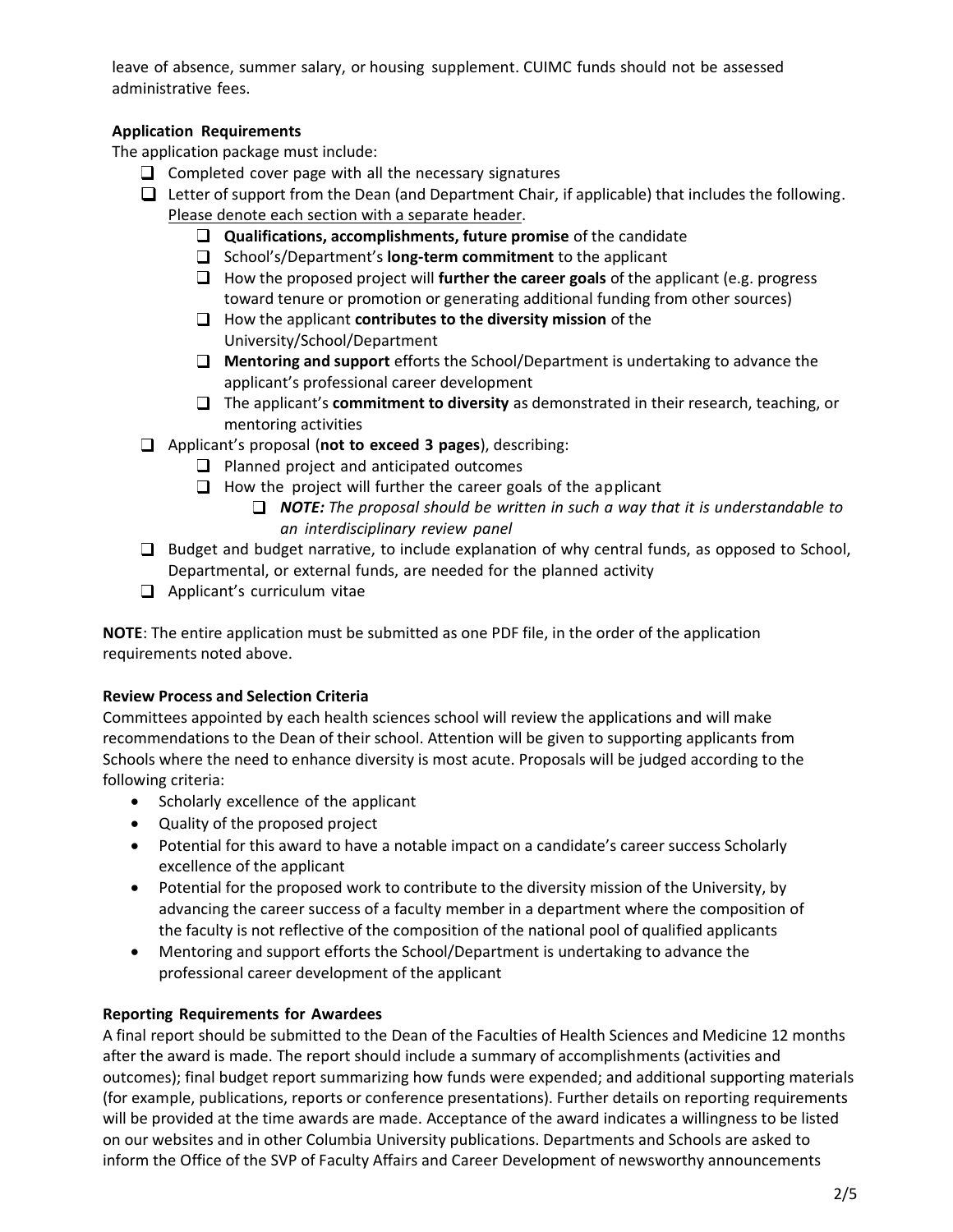leave of absence, summer salary, or housing supplement. CUIMC funds should not be assessed administrative fees.

# **Application Requirements**

The application package must include:

- $\Box$  Completed cover page with all the necessary signatures
- $\Box$  Letter of support from the Dean (and Department Chair, if applicable) that includes the following. Please denote each section with a separate header.
	- **Qualifications, accomplishments, future promise** of the candidate
	- School's/Department's **long-term commitment** to the applicant
	- $\Box$  How the proposed project will **further the career goals** of the applicant (e.g. progress toward tenure or promotion or generating additional funding from other sources)
	- How the applicant **contributes to the diversity mission** of the University/School/Department
	- **Mentoring and support** efforts the School/Department is undertaking to advance the applicant's professional career development
	- The applicant's **commitment to diversity** as demonstrated in their research, teaching, or mentoring activities
- Applicant's proposal (**not to exceed 3 pages**), describing:
	- $\Box$  Planned project and anticipated outcomes
	- $\Box$  How the project will further the career goals of the applicant
		- *NOTE: The proposal should be written in such a way that it is understandable to an interdisciplinary review panel*
- $\Box$  Budget and budget narrative, to include explanation of why central funds, as opposed to School, Departmental, or external funds, are needed for the planned activity
- $\Box$  Applicant's curriculum vitae

**NOTE**: The entire application must be submitted as one PDF file, in the order of the application requirements noted above.

# **Review Process and Selection Criteria**

Committees appointed by each health sciences school will review the applications and will make recommendations to the Dean of their school. Attention will be given to supporting applicants from Schools where the need to enhance diversity is most acute. Proposals will be judged according to the following criteria:

- Scholarly excellence of the applicant
- Quality of the proposed project
- Potential for this award to have a notable impact on a candidate's career success Scholarly excellence of the applicant
- Potential for the proposed work to contribute to the diversity mission of the University, by advancing the career success of a faculty member in a department where the composition of the faculty is not reflective of the composition of the national pool of qualified applicants
- Mentoring and support efforts the School/Department is undertaking to advance the professional career development of the applicant

# **Reporting Requirements for Awardees**

A final report should be submitted to the Dean of the Faculties of Health Sciences and Medicine 12 months after the award is made. The report should include a summary of accomplishments (activities and outcomes); final budget report summarizing how funds were expended; and additional supporting materials (for example, publications, reports or conference presentations). Further details on reporting requirements will be provided at the time awards are made. Acceptance of the award indicates a willingness to be listed on our websites and in other Columbia University publications. Departments and Schools are asked to inform the Office of the SVP of Faculty Affairs and Career Development of newsworthy announcements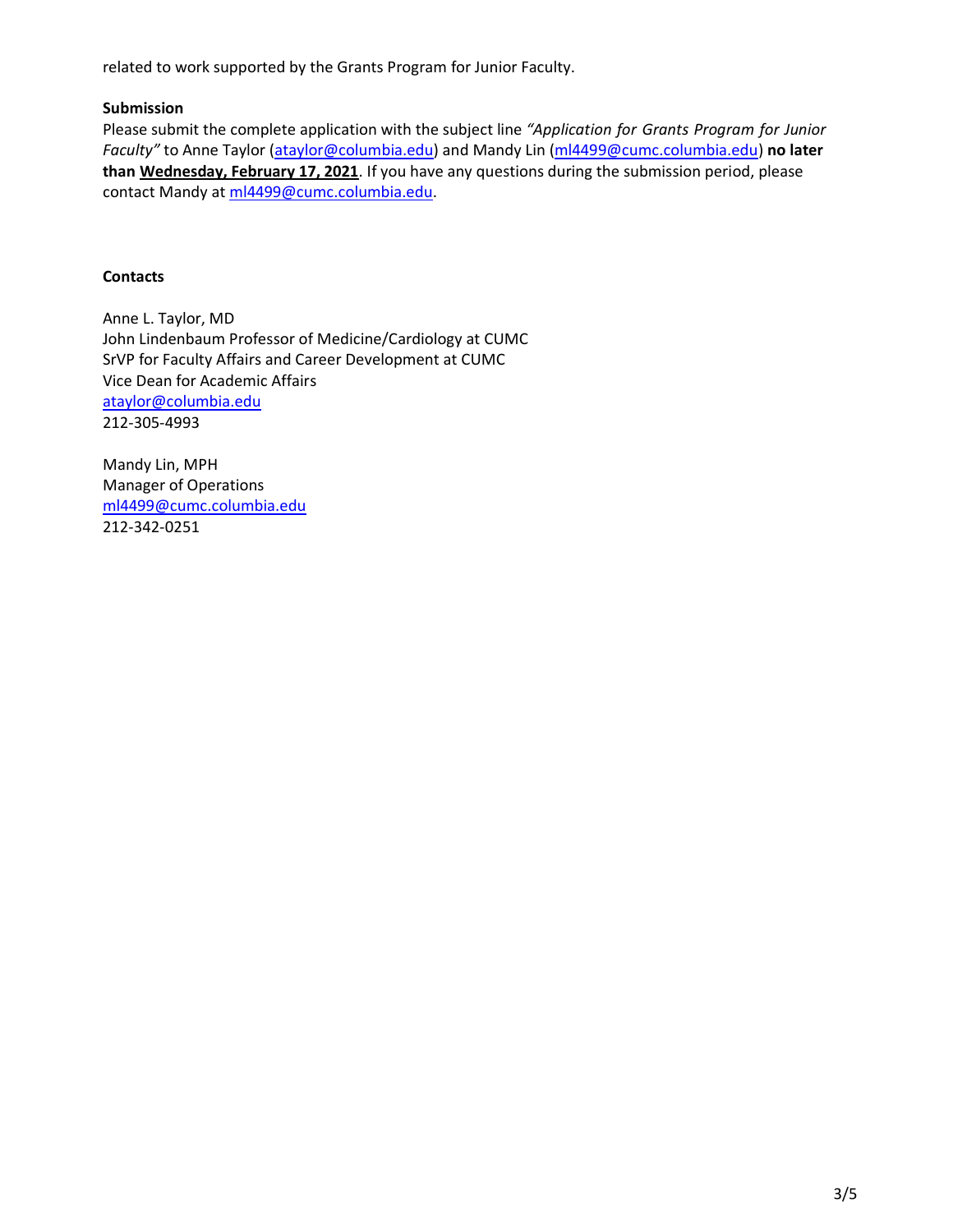related to work supported by the Grants Program for Junior Faculty.

## **Submission**

Please submit the complete application with the subject line *"Application for Grants Program for Junior Faculty"* to Anne Taylor [\(ataylor@columbia.edu\)](mailto:ataylor@columbia.edu) and Mandy Lin [\(ml4499@cumc.columbia.edu\)](mailto:ml4499@cumc.columbia.edu) **no later than Wednesday, February 17, 2021**. If you have any questions during the submission period, please contact Mandy at [ml4499@cumc.columbia.edu.](mailto:ml4499@cumc.columbia.edu)

## **Contacts**

Anne L. Taylor, MD John Lindenbaum Professor of Medicine/Cardiology at CUMC SrVP for Faculty Affairs and Career Development at CUMC Vice Dean for Academic Affairs [ataylor@columbia.edu](file:///C:/Users/cl2779/AppData/Local/Microsoft/Windows/Temporary%20Internet%20Files/Content.Outlook/NY31770Q/ataylor@columbia.edu) 212-305-4993

Mandy Lin, MPH Manager of Operations [ml4499@cumc.columbia.edu](mailto:ml4499@cumc.columbia.edu) 212-342-0251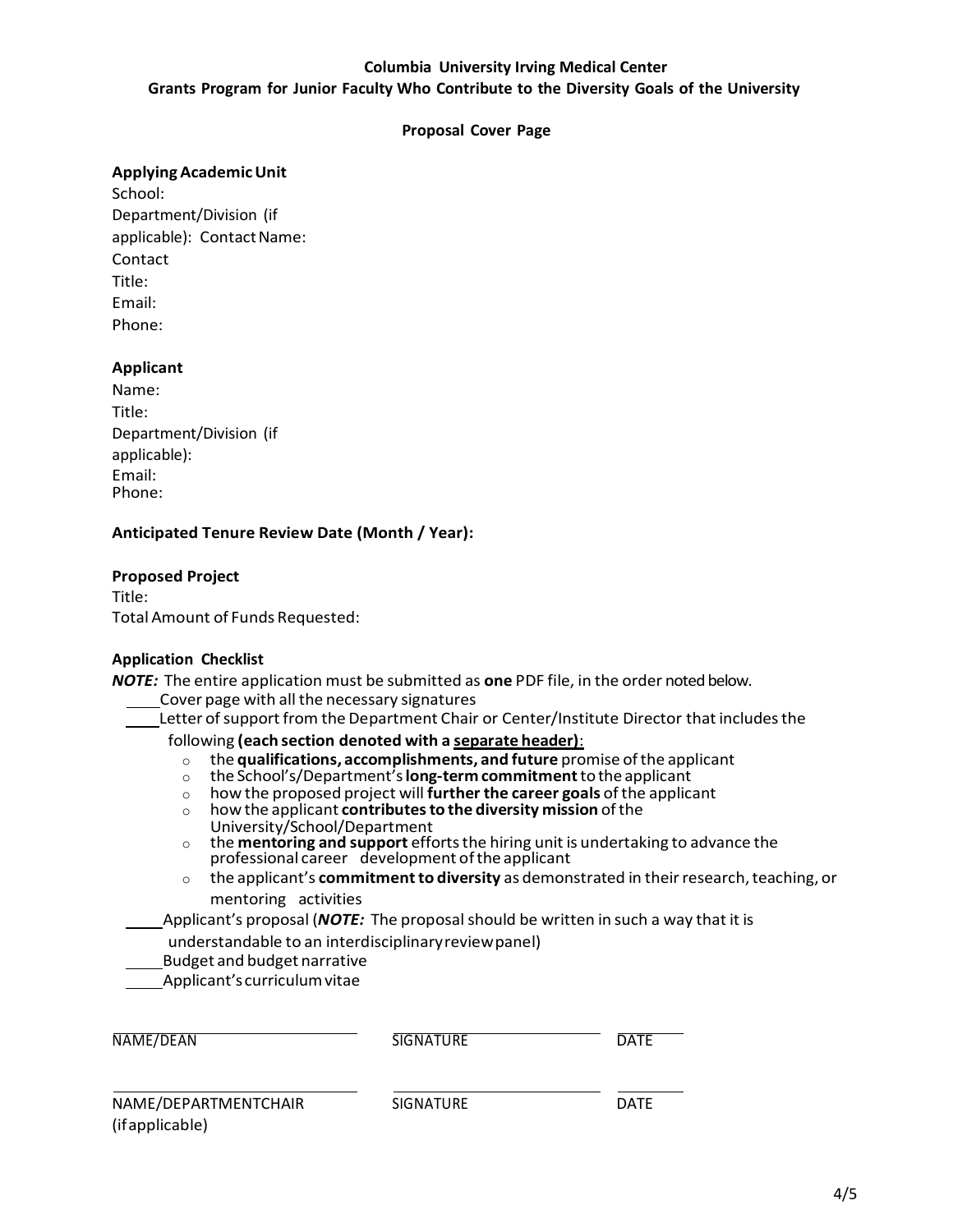### **Columbia University Irving Medical Center**

### **Grants Program for Junior Faculty Who Contribute to the Diversity Goals of the University**

#### **Proposal Cover Page**

#### **ApplyingAcademicUnit**

School: Department/Division (if applicable): Contact Name: Contact Title: Email: Phone:

#### **Applicant**

| Name:                   |  |
|-------------------------|--|
| Title:                  |  |
| Department/Division (if |  |
| applicable):            |  |
| Email:                  |  |
| Phone:                  |  |

## **Anticipated Tenure Review Date (Month / Year):**

#### **Proposed Project**

Title: TotalAmount of Funds Requested:

#### **Application Checklist**

*NOTE:* The entire application must be submitted as **one** PDF file, in the order noted below.

- Cover page with all the necessary signatures
- Letter of support from the Department Chair or Center/Institute Director that includes the

following **(each section denoted with a separate header)**:

- o the **qualifications, accomplishments, and future** promise ofthe applicant
- o the School's/Department's**long-term commitment**tothe applicant
- o how the proposed project will **further the career goals** of the applicant
- o howthe applicant **contributesto the diversity mission** ofthe
- University/School/Department
- o the **mentoring and support** effortsthe hiring unit is undertaking to advance the professional career development ofthe applicant
- o the applicant's **commitmentto diversity** as demonstrated in theirresearch,teaching, or mentoring activities

Applicant's proposal (*NOTE:* The proposalshould be written in such a way that it is

- understandable to an interdisciplinaryreviewpanel)
- Budget and budget narrative

Applicant'scurriculumvitae

| NAME/DEAN                               | SIGNATURE | <b>DATE</b> |  |
|-----------------------------------------|-----------|-------------|--|
| NAME/DEPARTMENTCHAIR<br>(if applicable) | SIGNATURE | <b>DATE</b> |  |